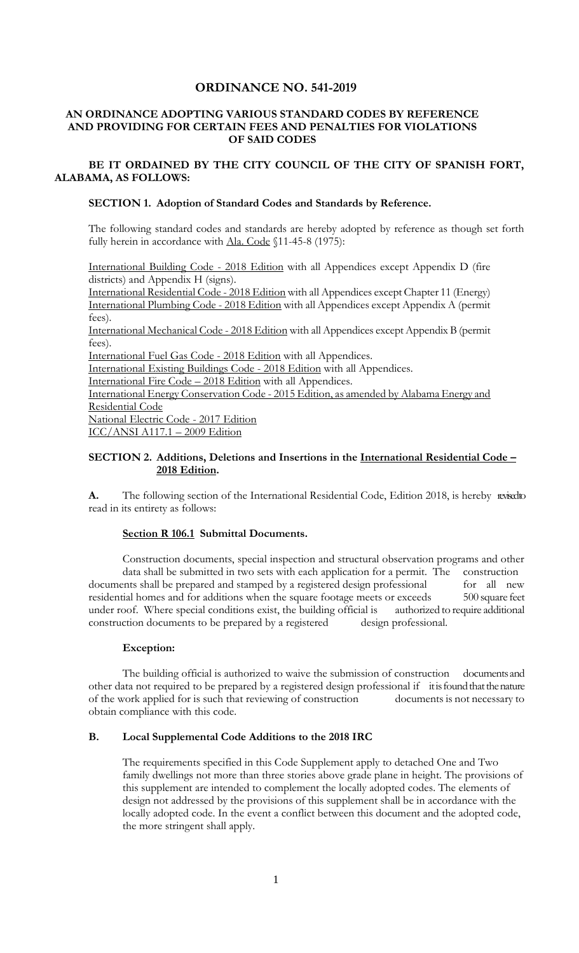## **ORDINANCE NO. 541-2019**

### **AN ORDINANCE ADOPTING VARIOUS STANDARD CODES BY REFERENCE AND PROVIDING FOR CERTAIN FEES AND PENALTIES FOR VIOLATIONS OF SAID CODES**

**BE IT ORDAINED BY THE CITY COUNCIL OF THE CITY OF SPANISH FORT, ALABAMA, AS FOLLOWS:**

### **SECTION 1. Adoption of Standard Codes and Standards by Reference.**

The following standard codes and standards are hereby adopted by reference as though set forth fully herein in accordance with Ala. Code §11-45-8 (1975):

International Building Code - 2018 Edition with all Appendices except Appendix D (fire districts) and Appendix H (signs).

International Residential Code - 2018 Edition with all Appendices except Chapter 11 (Energy) International Plumbing Code - 2018 Edition with all Appendices except Appendix A (permit fees).

International Mechanical Code - 2018 Edition with all Appendices except Appendix B (permit fees).

International Fuel Gas Code - 2018 Edition with all Appendices.

International Existing Buildings Code - 2018 Edition with all Appendices.

International Fire Code – 2018 Edition with all Appendices.

International Energy Conservation Code - 2015 Edition, as amended by Alabama Energy and Residential Code

National Electric Code - 2017 Edition ICC/ANSI A117.1 – 2009 Edition

### **SECTION 2. Additions, Deletions and Insertions in the International Residential Code – 2018 Edition.**

A. The following section of the International Residential Code, Edition 2018, is hereby revised to read in its entirety as follows:

### **Section R 106.1 Submittal Documents.**

Construction documents, special inspection and structural observation programs and other data shall be submitted in two sets with each application for a permit. The construction documents shall be prepared and stamped by a registered design professional for all new residential homes and for additions when the square footage meets or exceeds 500 square feet under roof. Where special conditions exist, the building official is authorized to require additional construction documents to be prepared by a registered design professional.

### **Exception:**

The building official is authorized to waive the submission of construction documents and other data not required to be prepared by a registered design professional if it is found that the nature of the work applied for is such that reviewing of construction documents is not necessary to obtain compliance with this code.

### **B. Local Supplemental Code Additions to the 2018 IRC**

The requirements specified in this Code Supplement apply to detached One and Two family dwellings not more than three stories above grade plane in height. The provisions of this supplement are intended to complement the locally adopted codes. The elements of design not addressed by the provisions of this supplement shall be in accordance with the locally adopted code. In the event a conflict between this document and the adopted code, the more stringent shall apply.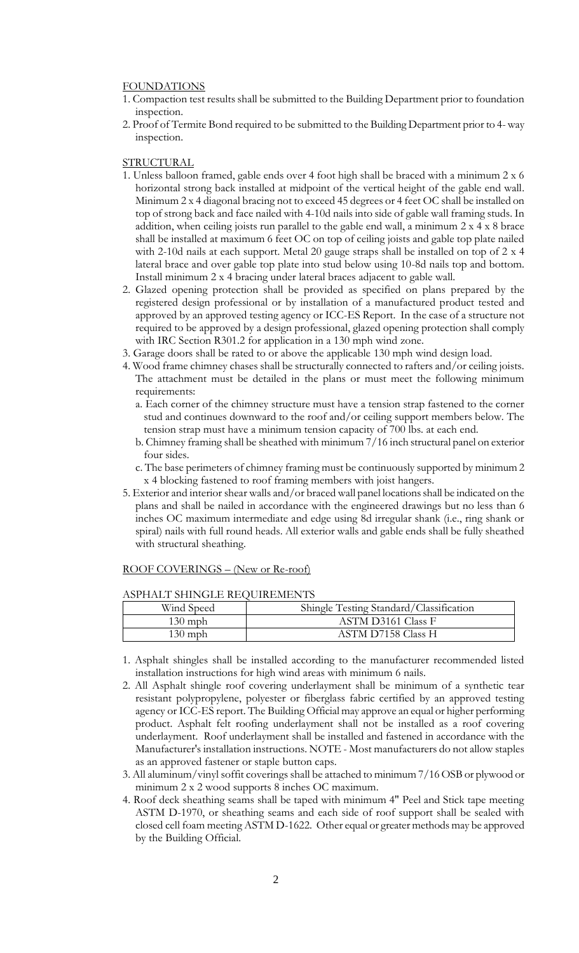#### **FOUNDATIONS**

- 1. Compaction test results shall be submitted to the Building Department prior to foundation inspection.
- 2. Proof of Termite Bond required to be submitted to the Building Department prior to 4- way inspection.

#### **STRUCTURAL**

- 1. Unless balloon framed, gable ends over 4 foot high shall be braced with a minimum 2 x 6 horizontal strong back installed at midpoint of the vertical height of the gable end wall. Minimum 2 x 4 diagonal bracing not to exceed 45 degrees or 4 feet OC shall be installed on top of strong back and face nailed with 4-10d nails into side of gable wall framing studs. In addition, when ceiling joists run parallel to the gable end wall, a minimum 2 x 4 x 8 brace shall be installed at maximum 6 feet OC on top of ceiling joists and gable top plate nailed with 2-10d nails at each support. Metal 20 gauge straps shall be installed on top of 2 x 4 lateral brace and over gable top plate into stud below using 10-8d nails top and bottom. Install minimum 2 x 4 bracing under lateral braces adjacent to gable wall.
- 2. Glazed opening protection shall be provided as specified on plans prepared by the registered design professional or by installation of a manufactured product tested and approved by an approved testing agency or ICC-ES Report. In the case of a structure not required to be approved by a design professional, glazed opening protection shall comply with IRC Section R301.2 for application in a 130 mph wind zone.
- 3. Garage doors shall be rated to or above the applicable 130 mph wind design load.
- 4. Wood frame chimney chases shall be structurally connected to rafters and/or ceiling joists. The attachment must be detailed in the plans or must meet the following minimum requirements:
	- a. Each corner of the chimney structure must have a tension strap fastened to the corner stud and continues downward to the roof and/or ceiling support members below. The tension strap must have a minimum tension capacity of 700 lbs. at each end.
	- b. Chimney framing shall be sheathed with minimum 7/16 inch structural panel on exterior four sides.
	- c. The base perimeters of chimney framing must be continuously supported by minimum 2 x 4 blocking fastened to roof framing members with joist hangers.
- 5. Exterior and interior shear walls and/or braced wall panel locations shall be indicated on the plans and shall be nailed in accordance with the engineered drawings but no less than 6 inches OC maximum intermediate and edge using 8d irregular shank (i.e., ring shank or spiral) nails with full round heads. All exterior walls and gable ends shall be fully sheathed with structural sheathing.

#### ROOF COVERINGS – (New or Re-roof)

#### ASPHALT SHINGLE REQUIREMENTS

| Wind Speed | Shingle Testing Standard/Classification |
|------------|-----------------------------------------|
| $130$ mph  | ASTM D3161 Class F                      |
| $130$ mph  | ASTM D7158 Class H                      |

- 1. Asphalt shingles shall be installed according to the manufacturer recommended listed installation instructions for high wind areas with minimum 6 nails.
- 2. All Asphalt shingle roof covering underlayment shall be minimum of a synthetic tear resistant polypropylene, polyester or fiberglass fabric certified by an approved testing agency or ICC-ES report. The Building Official may approve an equal or higher performing product. Asphalt felt roofing underlayment shall not be installed as a roof covering underlayment. Roof underlayment shall be installed and fastened in accordance with the Manufacturer's installation instructions. NOTE - Most manufacturers do not allow staples as an approved fastener or staple button caps.
- 3. All aluminum/vinyl soffit coverings shall be attached to minimum 7/16 OSB or plywood or minimum 2 x 2 wood supports 8 inches OC maximum.
- 4. Roof deck sheathing seams shall be taped with minimum 4" Peel and Stick tape meeting ASTM D-1970, or sheathing seams and each side of roof support shall be sealed with closed cell foam meeting ASTM D-1622. Other equal or greater methods may be approved by the Building Official.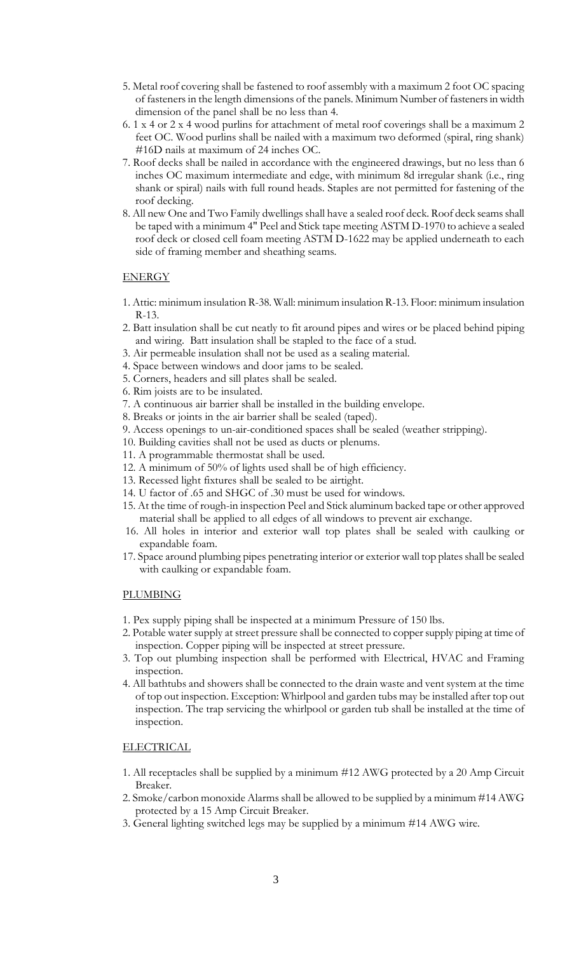- 5. Metal roof covering shall be fastened to roof assembly with a maximum 2 foot OC spacing of fasteners in the length dimensions of the panels. Minimum Number of fasteners in width dimension of the panel shall be no less than 4.
- 6. 1 x 4 or 2 x 4 wood purlins for attachment of metal roof coverings shall be a maximum 2 feet OC. Wood purlins shall be nailed with a maximum two deformed (spiral, ring shank) #16D nails at maximum of 24 inches OC.
- 7. Roof decks shall be nailed in accordance with the engineered drawings, but no less than 6 inches OC maximum intermediate and edge, with minimum 8d irregular shank (i.e., ring shank or spiral) nails with full round heads. Staples are not permitted for fastening of the roof decking.
- 8. All new One and Two Family dwellings shall have a sealed roof deck. Roof deck seams shall be taped with a minimum 4" Peel and Stick tape meeting ASTM D-1970 to achieve a sealed roof deck or closed cell foam meeting ASTM D-1622 may be applied underneath to each side of framing member and sheathing seams.

### ENERGY

- 1. Attic: minimum insulation R-38. Wall: minimum insulation R-13. Floor: minimum insulation R-13.
- 2. Batt insulation shall be cut neatly to fit around pipes and wires or be placed behind piping and wiring. Batt insulation shall be stapled to the face of a stud.
- 3. Air permeable insulation shall not be used as a sealing material.
- 4. Space between windows and door jams to be sealed.
- 5. Corners, headers and sill plates shall be sealed.
- 6. Rim joists are to be insulated.
- 7. A continuous air barrier shall be installed in the building envelope.
- 8. Breaks or joints in the air barrier shall be sealed (taped).
- 9. Access openings to un-air-conditioned spaces shall be sealed (weather stripping).
- 10. Building cavities shall not be used as ducts or plenums.
- 11. A programmable thermostat shall be used.
- 12. A minimum of 50% of lights used shall be of high efficiency.
- 13. Recessed light fixtures shall be sealed to be airtight.
- 14. U factor of .65 and SHGC of .30 must be used for windows.
- 15. At the time of rough-in inspection Peel and Stick aluminum backed tape or other approved material shall be applied to all edges of all windows to prevent air exchange.
- 16. All holes in interior and exterior wall top plates shall be sealed with caulking or expandable foam.
- 17. Space around plumbing pipes penetrating interior or exterior wall top plates shall be sealed with caulking or expandable foam.

### PLUMBING

- 1. Pex supply piping shall be inspected at a minimum Pressure of 150 lbs.
- 2. Potable water supply at street pressure shall be connected to copper supply piping at time of inspection. Copper piping will be inspected at street pressure.
- 3. Top out plumbing inspection shall be performed with Electrical, HVAC and Framing inspection.
- 4. All bathtubs and showers shall be connected to the drain waste and vent system at the time of top out inspection. Exception: Whirlpool and garden tubs may be installed after top out inspection. The trap servicing the whirlpool or garden tub shall be installed at the time of inspection.

### **ELECTRICAL**

- 1. All receptacles shall be supplied by a minimum #12 AWG protected by a 20 Amp Circuit Breaker.
- 2. Smoke/carbon monoxide Alarms shall be allowed to be supplied by a minimum #14 AWG protected by a 15 Amp Circuit Breaker.
- 3. General lighting switched legs may be supplied by a minimum #14 AWG wire.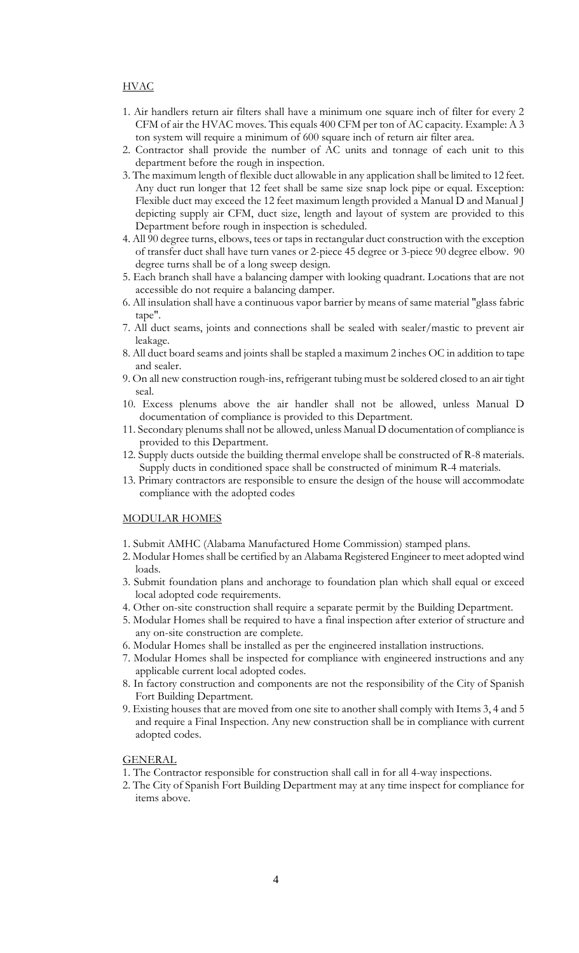### HVAC

- 1. Air handlers return air filters shall have a minimum one square inch of filter for every 2 CFM of air the HVAC moves. This equals 400 CFM per ton of AC capacity. Example: A 3 ton system will require a minimum of 600 square inch of return air filter area.
- 2. Contractor shall provide the number of AC units and tonnage of each unit to this department before the rough in inspection.
- 3. The maximum length of flexible duct allowable in any application shall be limited to 12 feet. Any duct run longer that 12 feet shall be same size snap lock pipe or equal. Exception: Flexible duct may exceed the 12 feet maximum length provided a Manual D and Manual J depicting supply air CFM, duct size, length and layout of system are provided to this Department before rough in inspection is scheduled.
- 4. All 90 degree turns, elbows, tees or taps in rectangular duct construction with the exception of transfer duct shall have turn vanes or 2-piece 45 degree or 3-piece 90 degree elbow. 90 degree turns shall be of a long sweep design.
- 5. Each branch shall have a balancing damper with looking quadrant. Locations that are not accessible do not require a balancing damper.
- 6. All insulation shall have a continuous vapor barrier by means of same material "glass fabric tape".
- 7. All duct seams, joints and connections shall be sealed with sealer/mastic to prevent air leakage.
- 8. All duct board seams and joints shall be stapled a maximum 2 inches OC in addition to tape and sealer.
- 9. On all new construction rough-ins, refrigerant tubing must be soldered closed to an air tight seal.
- 10. Excess plenums above the air handler shall not be allowed, unless Manual D documentation of compliance is provided to this Department.
- 11. Secondary plenums shall not be allowed, unless Manual D documentation of compliance is provided to this Department.
- 12. Supply ducts outside the building thermal envelope shall be constructed of R-8 materials. Supply ducts in conditioned space shall be constructed of minimum R-4 materials.
- 13. Primary contractors are responsible to ensure the design of the house will accommodate compliance with the adopted codes

### MODULAR HOMES

- 1. Submit AMHC (Alabama Manufactured Home Commission) stamped plans.
- 2. Modular Homes shall be certified by an Alabama Registered Engineer to meet adopted wind loads.
- 3. Submit foundation plans and anchorage to foundation plan which shall equal or exceed local adopted code requirements.
- 4. Other on-site construction shall require a separate permit by the Building Department.
- 5. Modular Homes shall be required to have a final inspection after exterior of structure and any on-site construction are complete.
- 6. Modular Homes shall be installed as per the engineered installation instructions.
- 7. Modular Homes shall be inspected for compliance with engineered instructions and any applicable current local adopted codes.
- 8. In factory construction and components are not the responsibility of the City of Spanish Fort Building Department.
- 9. Existing houses that are moved from one site to another shall comply with Items 3, 4 and 5 and require a Final Inspection. Any new construction shall be in compliance with current adopted codes.

**GENERAL** 

- 1. The Contractor responsible for construction shall call in for all 4-way inspections.
- 2. The City of Spanish Fort Building Department may at any time inspect for compliance for items above.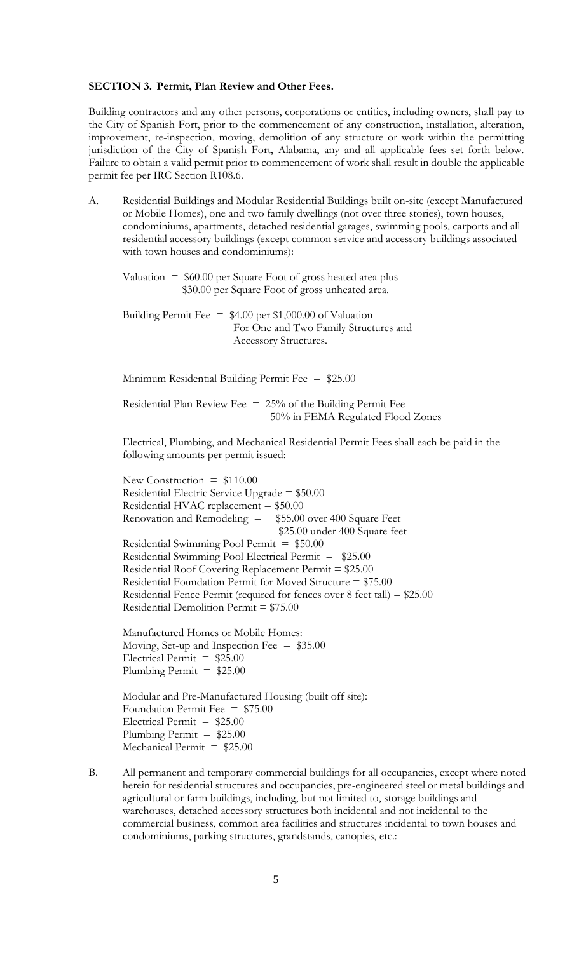### **SECTION 3. Permit, Plan Review and Other Fees.**

Building contractors and any other persons, corporations or entities, including owners, shall pay to the City of Spanish Fort, prior to the commencement of any construction, installation, alteration, improvement, re-inspection, moving, demolition of any structure or work within the permitting jurisdiction of the City of Spanish Fort, Alabama, any and all applicable fees set forth below. Failure to obtain a valid permit prior to commencement of work shall result in double the applicable permit fee per IRC Section R108.6.

A. Residential Buildings and Modular Residential Buildings built on-site (except Manufactured or Mobile Homes), one and two family dwellings (not over three stories), town houses, condominiums, apartments, detached residential garages, swimming pools, carports and all residential accessory buildings (except common service and accessory buildings associated with town houses and condominiums):

Valuation  $=$  \$60.00 per Square Foot of gross heated area plus \$30.00 per Square Foot of gross unheated area.

Building Permit Fee = \$4.00 per \$1,000.00 of Valuation For One and Two Family Structures and Accessory Structures.

Minimum Residential Building Permit Fee = \$25.00

Residential Plan Review Fee  $= 25%$  of the Building Permit Fee 50% in FEMA Regulated Flood Zones

Electrical, Plumbing, and Mechanical Residential Permit Fees shall each be paid in the following amounts per permit issued:

New Construction =  $$110.00$ Residential Electric Service Upgrade = \$50.00 Residential HVAC replacement = \$50.00 Renovation and Remodeling  $=$  \$55.00 over 400 Square Feet \$25.00 under 400 Square feet Residential Swimming Pool Permit = \$50.00 Residential Swimming Pool Electrical Permit = \$25.00 Residential Roof Covering Replacement Permit = \$25.00 Residential Foundation Permit for Moved Structure = \$75.00 Residential Fence Permit (required for fences over 8 feet tall) = \$25.00 Residential Demolition Permit = \$75.00

Manufactured Homes or Mobile Homes: Moving, Set-up and Inspection Fee  $=$  \$35.00 Electrical Permit =  $$25.00$ Plumbing Permit =  $$25.00$ 

Modular and Pre-Manufactured Housing (built off site): Foundation Permit Fee  $=$  \$75.00 Electrical Permit =  $$25.00$ Plumbing Permit  $= $25.00$ Mechanical Permit  $= $25.00$ 

B. All permanent and temporary commercial buildings for all occupancies, except where noted herein for residential structures and occupancies, pre-engineered steel or metal buildings and agricultural or farm buildings, including, but not limited to, storage buildings and warehouses, detached accessory structures both incidental and not incidental to the commercial business, common area facilities and structures incidental to town houses and condominiums, parking structures, grandstands, canopies, etc.: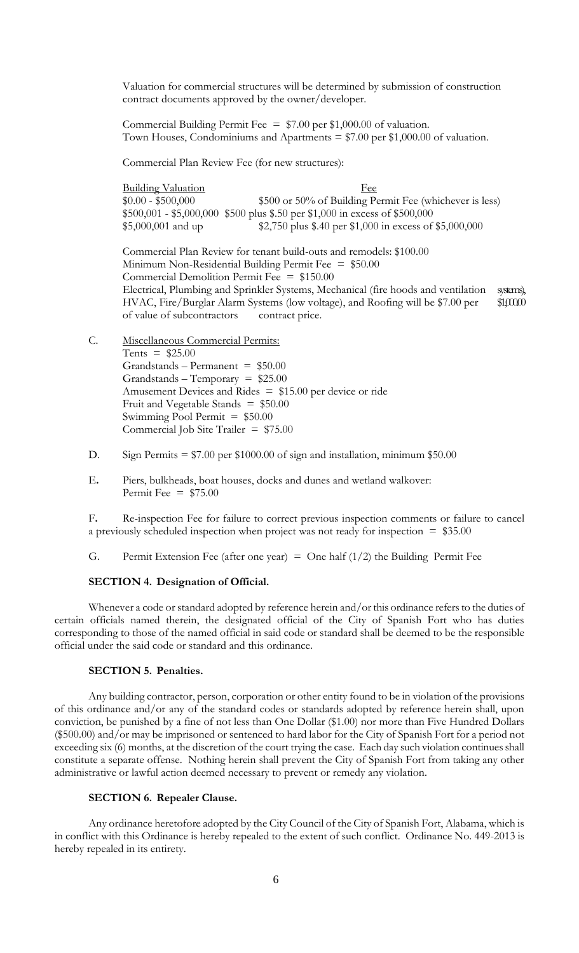Valuation for commercial structures will be determined by submission of construction contract documents approved by the owner/developer.

Commercial Building Permit Fee =  $$7.00$  per \$1,000.00 of valuation. Town Houses, Condominiums and Apartments  $= $7.00$  per \$1,000.00 of valuation.

Commercial Plan Review Fee (for new structures):

| <u>Building Valuation</u> | Fee                                                                        |
|---------------------------|----------------------------------------------------------------------------|
| $$0.00 - $500,000$        | \$500 or 50% of Building Permit Fee (whichever is less)                    |
|                           | $$500,001 - $5,000,000 $500$ plus \$.50 per \$1,000 in excess of \$500,000 |
| \$5,000,001 and up        | \$2,750 plus \$.40 per \$1,000 in excess of \$5,000,000                    |

Commercial Plan Review for tenant build-outs and remodels: \$100.00 Minimum Non-Residential Building Permit Fee  $=$  \$50.00 Commercial Demolition Permit Fee = \$150.00 Electrical, Plumbing and Sprinkler Systems, Mechanical (fire hoods and ventilation systems), HVAC, Fire/Burglar Alarm Systems (low voltage), and Roofing will be \$7.00 per \$1,000. of value of subcontractors contract price.

- C. Miscellaneous Commercial Permits: Tents =  $$25.00$  $Grandstands - Permanent = $50.00$  $Grands - Temporary = $25.00$ Amusement Devices and Rides = \$15.00 per device or ride Fruit and Vegetable Stands  $=$  \$50.00 Swimming Pool Permit  $= $50.00$ Commercial Job Site Trailer =  $$75.00$
- D. Sign Permits  $= $7.00$  per \$1000.00 of sign and installation, minimum \$50.00
- E**.** Piers, bulkheads, boat houses, docks and dunes and wetland walkover: Permit Fee  $=$  \$75.00

F**.** Re-inspection Fee for failure to correct previous inspection comments or failure to cancel a previously scheduled inspection when project was not ready for inspection  $= $35.00$ 

G. Permit Extension Fee (after one year) = One half  $(1/2)$  the Building Permit Fee

#### **SECTION 4. Designation of Official.**

Whenever a code or standard adopted by reference herein and/or this ordinance refers to the duties of certain officials named therein, the designated official of the City of Spanish Fort who has duties corresponding to those of the named official in said code or standard shall be deemed to be the responsible official under the said code or standard and this ordinance.

### **SECTION 5. Penalties.**

Any building contractor, person, corporation or other entity found to be in violation of the provisions of this ordinance and/or any of the standard codes or standards adopted by reference herein shall, upon conviction, be punished by a fine of not less than One Dollar (\$1.00) nor more than Five Hundred Dollars (\$500.00) and/or may be imprisoned or sentenced to hard labor for the City of Spanish Fort for a period not exceeding six (6) months, at the discretion of the court trying the case. Each day such violation continues shall constitute a separate offense. Nothing herein shall prevent the City of Spanish Fort from taking any other administrative or lawful action deemed necessary to prevent or remedy any violation.

### **SECTION 6. Repealer Clause.**

Any ordinance heretofore adopted by the City Council of the City of Spanish Fort, Alabama, which is in conflict with this Ordinance is hereby repealed to the extent of such conflict. Ordinance No. 449-2013 is hereby repealed in its entirety.